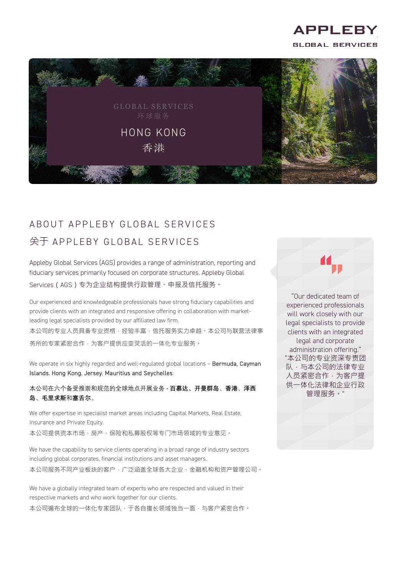



## A BOUT APPLEBY GLOBAL SERVICES 关于 APPLEBY GLOBAL SERVICES

Appleby Global Services (AGS) provides a range of administration, reporting and fiduciary services primarily focused on corporate structures. Appleby Global Services(AGS)专为企业结构提供行政管理、申报及信托服务。

Our experienced and knowledgeable professionals have strong fiduciary capabilities and provide clients with an integrated and responsive offering in collaboration with marketleading legal specialists provided by our affiliated law firm. 本公司的专业人员具备专业资格,经验丰富,信托服务实力卓越。本公司与联营法律事 务所的专家紧密合作,为客户提供应变灵活的一体化专业服务。

We operate in six highly regarded and well-regulated global locations - Bermuda, Cayman Islands, Hong Kong, Jersey, Mauritius and Seychelles.

本公司在六个备受推崇和规范的全球地点开展业务 - **百慕达、开曼群岛**、**香港**、**泽西 岛**、**毛里求斯**和**塞舌尔**。

We offer expertise in specialist market areas including Capital Markets, Real Estate, Insurance and Private Equity.

本公司提供资本市场、房产、保险和私募股权等专门市场领域的专业意见。

We have the capability to service clients operating in a broad range of industry sectors including global corporates, financial institutions and asset managers. 本公司服务不同产业板块的客户,广泛涵盖全球各大企业、金融机构和资产管理公司。

We have a globally integrated team of experts who are respected and valued in their respective markets and who work together for our clients. 本公司遍布全球的一体化专家团队,干各自擅长领域独当一面,与客户紧密合作。

"Our dedicated team of experienced professionals will work closely with our legal specialists to provide clients with an integrated legal and corporate administration offering." "本公司的专业资深专责团 队,与本公司的法律专业 人员紧密合作,为客户提 供一体化法律和企业行政 管理服务。"